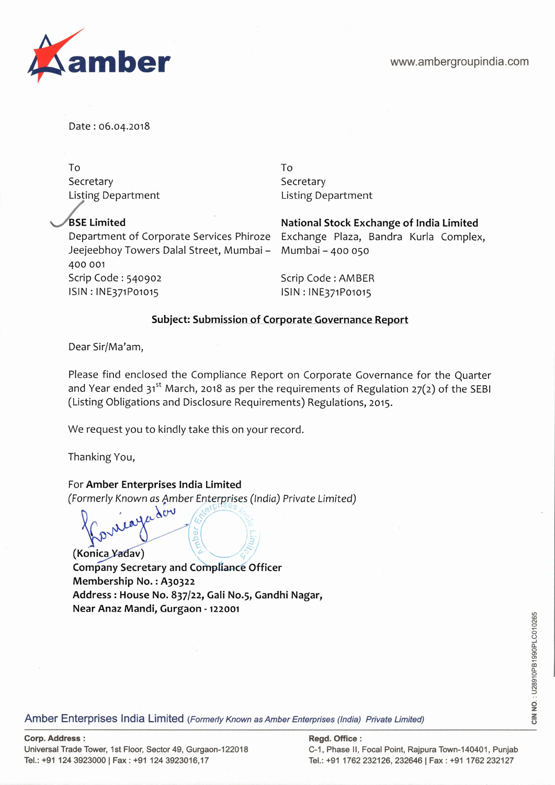

Date: 06.04.2018

To To Secretary Secretary Secretary Listing Department Listing Department

Jeejeebhoy Towers Dalal Street, Mumbai - Mumbai - 400 050 400 001 Scrip Code: 540902 Scrip Code: AMBER ISIN : INE371P01015 ISIN : INE371P01015

**ASE Limited National Stock Exchange of India Limited**  Department of Corporate Services Phiroze Exchange Plaza, Bandra Kurla Complex,

## **Subject: Submission of Corporate Governance Report**

Dear Sir/Ma'am,

Please find enclosed the Compliance Report on Corporate Governance for the Quarter and Year ended  $31^{st}$  March, 2018 as per the requirements of Regulation 27(2) of the SEBI (Listing Obligations and Disclosure Requirements) Regulations, 2015.

We request you to kindly take this on your record.

Thanking You,

## For **Amber Enterprises India Limited**

(Formerly Known as Amber Enterprises (India) Private Limited)<br> $\int_{\Gamma}$   $\int_{\mathcal{A}} \mathcal{L} \mathcal{L} \mathcal{L} \mathcal{L}$ 

CONTROL OF **(Konica.Yadav)** '--\_.\_--- Company Secretary and **Compliance Officer Membership No.** : **A3o322 Address: House No. 837/22, Gali No.5, Gandhi Nagar, Near Anaz Mandi, Gurgaon** - **122001** 

**CIN NO.** : U28910PB1990PLC010265 CIN NO.: U28910PB1990PLC010265

Amber Enterprises India Limited (Formerly Known as Amber Enterprises (India) Private Limited)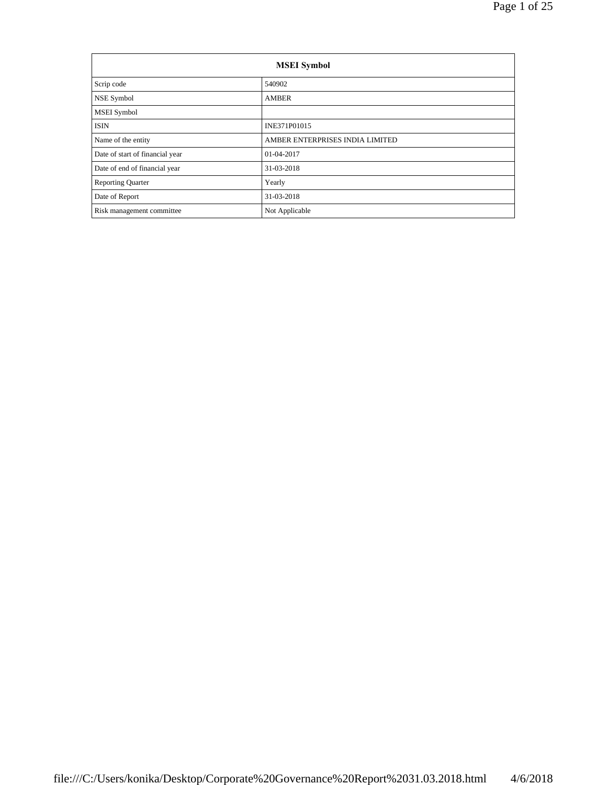| <b>MSEI</b> Symbol              |                                 |  |  |  |
|---------------------------------|---------------------------------|--|--|--|
| Scrip code                      | 540902                          |  |  |  |
| NSE Symbol                      | <b>AMBER</b>                    |  |  |  |
| <b>MSEI</b> Symbol              |                                 |  |  |  |
| <b>ISIN</b>                     | INE371P01015                    |  |  |  |
| Name of the entity              | AMBER ENTERPRISES INDIA LIMITED |  |  |  |
| Date of start of financial year | 01-04-2017                      |  |  |  |
| Date of end of financial year   | 31-03-2018                      |  |  |  |
| <b>Reporting Quarter</b>        | Yearly                          |  |  |  |
| Date of Report                  | 31-03-2018                      |  |  |  |
| Risk management committee       | Not Applicable                  |  |  |  |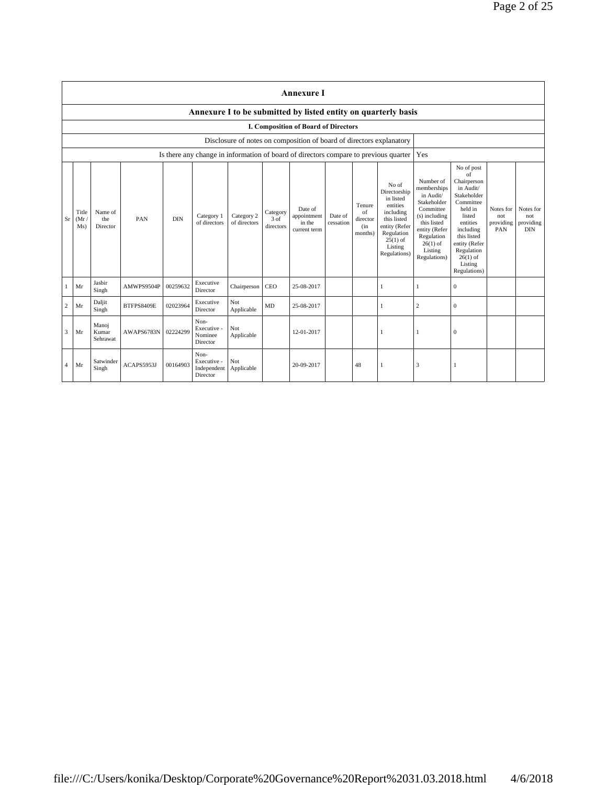|                |                      |                            |            |            |                                                |                            |                               | <b>Annexure I</b>                                                    |                      |                                            |                                                                                                                                                    |                                                                                                                                                                           |                                                                                                                                                                                                               |                                      |                                             |
|----------------|----------------------|----------------------------|------------|------------|------------------------------------------------|----------------------------|-------------------------------|----------------------------------------------------------------------|----------------------|--------------------------------------------|----------------------------------------------------------------------------------------------------------------------------------------------------|---------------------------------------------------------------------------------------------------------------------------------------------------------------------------|---------------------------------------------------------------------------------------------------------------------------------------------------------------------------------------------------------------|--------------------------------------|---------------------------------------------|
|                |                      |                            |            |            |                                                |                            |                               |                                                                      |                      |                                            | Annexure I to be submitted by listed entity on quarterly basis                                                                                     |                                                                                                                                                                           |                                                                                                                                                                                                               |                                      |                                             |
|                |                      |                            |            |            |                                                |                            |                               | I. Composition of Board of Directors                                 |                      |                                            |                                                                                                                                                    |                                                                                                                                                                           |                                                                                                                                                                                                               |                                      |                                             |
|                |                      |                            |            |            |                                                |                            |                               | Disclosure of notes on composition of board of directors explanatory |                      |                                            |                                                                                                                                                    |                                                                                                                                                                           |                                                                                                                                                                                                               |                                      |                                             |
|                |                      |                            |            |            |                                                |                            |                               |                                                                      |                      |                                            | Is there any change in information of board of directors compare to previous quarter                                                               | Yes                                                                                                                                                                       |                                                                                                                                                                                                               |                                      |                                             |
| Sr             | Title<br>(Mr)<br>Ms) | Name of<br>the<br>Director | PAN        | <b>DIN</b> | Category 1<br>of directors                     | Category 2<br>of directors | Category<br>3 of<br>directors | Date of<br>appointment<br>in the<br>current term                     | Date of<br>cessation | Tenure<br>of<br>director<br>(in<br>months) | No of<br>Directorship<br>in listed<br>entities<br>including<br>this listed<br>entity (Refer<br>Regulation<br>$25(1)$ of<br>Listing<br>Regulations) | Number of<br>memberships<br>in Audit/<br>Stakeholder<br>Committee<br>(s) including<br>this listed<br>entity (Refer<br>Regulation<br>$26(1)$ of<br>Listing<br>Regulations) | No of post<br>of<br>Chairperson<br>in Audit/<br>Stakeholder<br>Committee<br>held in<br>listed<br>entities<br>including<br>this listed<br>entity (Refer<br>Regulation<br>$26(1)$ of<br>Listing<br>Regulations) | Notes for<br>not<br>providing<br>PAN | Notes for<br>not<br>providing<br><b>DIN</b> |
|                | Mr                   | Jasbir<br>Singh            | AMWPS9504P | 00259632   | Executive<br>Director                          | Chairperson                | CEO                           | 25-08-2017                                                           |                      |                                            | 1                                                                                                                                                  | 1                                                                                                                                                                         | $\mathbf{0}$                                                                                                                                                                                                  |                                      |                                             |
| 2              | Mr                   | Daljit<br>Singh            | BTFPS8409E | 02023964   | Executive<br>Director                          | Not<br>Applicable          | MD                            | 25-08-2017                                                           |                      |                                            | 1                                                                                                                                                  | 2                                                                                                                                                                         | $\mathbf{0}$                                                                                                                                                                                                  |                                      |                                             |
| 3              | Mr                   | Manoj<br>Kumar<br>Sehrawat | AWAPS6783N | 02224299   | Non-<br>Executive -<br>Nominee<br>Director     | Not<br>Applicable          |                               | 12-01-2017                                                           |                      |                                            | 1                                                                                                                                                  | 1                                                                                                                                                                         | $\Omega$                                                                                                                                                                                                      |                                      |                                             |
| $\overline{4}$ | Mr                   | Satwinder<br>Singh         | ACAPS5953J | 00164903   | Non-<br>Executive -<br>Independent<br>Director | Not<br>Applicable          |                               | 20-09-2017                                                           |                      | 48                                         | 1                                                                                                                                                  | 3                                                                                                                                                                         | -1                                                                                                                                                                                                            |                                      |                                             |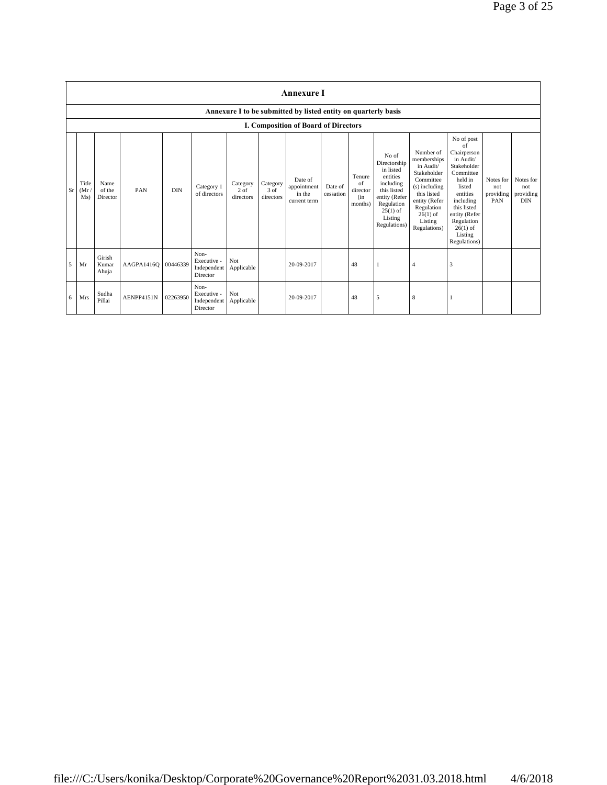|    |                                      |                            |                     |            |                                                |                                 |                               | <b>Annexure I</b>                                              |                      |                                            |                                                                                                                                                    |                                                                                                                                                                           |                                                                                                                                                                                                               |                                      |                                             |
|----|--------------------------------------|----------------------------|---------------------|------------|------------------------------------------------|---------------------------------|-------------------------------|----------------------------------------------------------------|----------------------|--------------------------------------------|----------------------------------------------------------------------------------------------------------------------------------------------------|---------------------------------------------------------------------------------------------------------------------------------------------------------------------------|---------------------------------------------------------------------------------------------------------------------------------------------------------------------------------------------------------------|--------------------------------------|---------------------------------------------|
|    |                                      |                            |                     |            |                                                |                                 |                               | Annexure I to be submitted by listed entity on quarterly basis |                      |                                            |                                                                                                                                                    |                                                                                                                                                                           |                                                                                                                                                                                                               |                                      |                                             |
|    | I. Composition of Board of Directors |                            |                     |            |                                                |                                 |                               |                                                                |                      |                                            |                                                                                                                                                    |                                                                                                                                                                           |                                                                                                                                                                                                               |                                      |                                             |
| Sr | Title<br>(Mr)<br>Ms)                 | Name<br>of the<br>Director | PAN                 | <b>DIN</b> | Category 1<br>of directors                     | Category<br>$2$ of<br>directors | Category<br>3 of<br>directors | Date of<br>appointment<br>in the<br>current term               | Date of<br>cessation | Tenure<br>of<br>director<br>(in<br>months) | No of<br>Directorship<br>in listed<br>entities<br>including<br>this listed<br>entity (Refer<br>Regulation<br>$25(1)$ of<br>Listing<br>Regulations) | Number of<br>memberships<br>in Audit/<br>Stakeholder<br>Committee<br>(s) including<br>this listed<br>entity (Refer<br>Regulation<br>$26(1)$ of<br>Listing<br>Regulations) | No of post<br>of<br>Chairperson<br>in Audit/<br>Stakeholder<br>Committee<br>held in<br>listed<br>entities<br>including<br>this listed<br>entity (Refer<br>Regulation<br>$26(1)$ of<br>Listing<br>Regulations) | Notes for<br>not<br>providing<br>PAN | Notes for<br>not<br>providing<br><b>DIN</b> |
| 5  | Mr                                   | Girish<br>Kumar<br>Ahuja   | AAGPA1416O 00446339 |            | Non-<br>Executive -<br>Independent<br>Director | Not<br>Applicable               |                               | 20-09-2017                                                     |                      | 48                                         |                                                                                                                                                    | $\overline{4}$                                                                                                                                                            | 3                                                                                                                                                                                                             |                                      |                                             |
| 6  | Mrs                                  | Sudha<br>Pillai            | AENPP4151N          | 02263950   | Non-<br>Executive -<br>Independent<br>Director | Not<br>Applicable               |                               | 20-09-2017                                                     |                      | 48                                         | 5                                                                                                                                                  | 8                                                                                                                                                                         |                                                                                                                                                                                                               |                                      |                                             |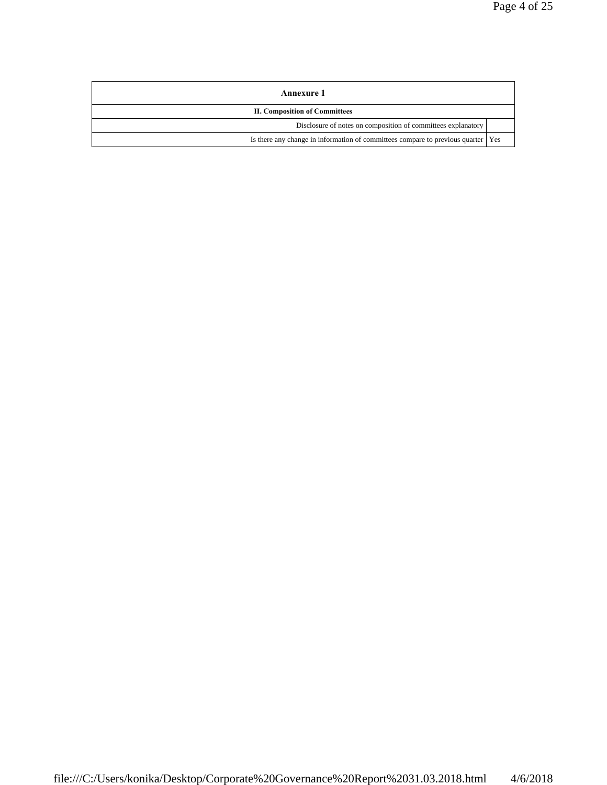| Annexure 1                                                                         |  |
|------------------------------------------------------------------------------------|--|
| <b>II. Composition of Committees</b>                                               |  |
| Disclosure of notes on composition of committees explanatory                       |  |
| Is there any change in information of committees compare to previous quarter   Yes |  |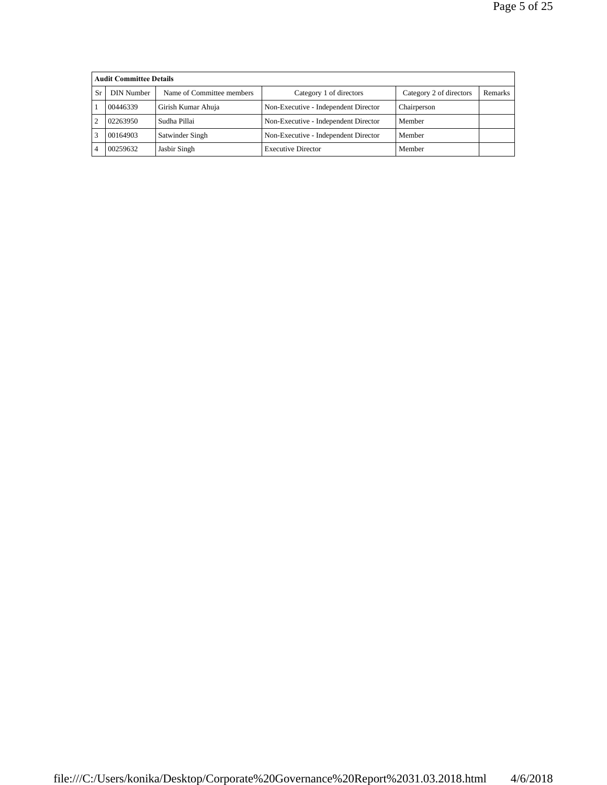|               | <b>Audit Committee Details</b>          |                    |                                                    |             |  |  |  |  |  |
|---------------|-----------------------------------------|--------------------|----------------------------------------------------|-------------|--|--|--|--|--|
| Sr.           | DIN Number<br>Name of Committee members |                    | Category 2 of directors<br>Category 1 of directors |             |  |  |  |  |  |
|               | 00446339                                | Girish Kumar Ahuja | Non-Executive - Independent Director               | Chairperson |  |  |  |  |  |
| $\mathcal{D}$ | 02263950                                | Sudha Pillai       | Non-Executive - Independent Director               | Member      |  |  |  |  |  |
|               | 00164903                                | Satwinder Singh    | Non-Executive - Independent Director               | Member      |  |  |  |  |  |
|               | 00259632                                | Jasbir Singh       | <b>Executive Director</b>                          | Member      |  |  |  |  |  |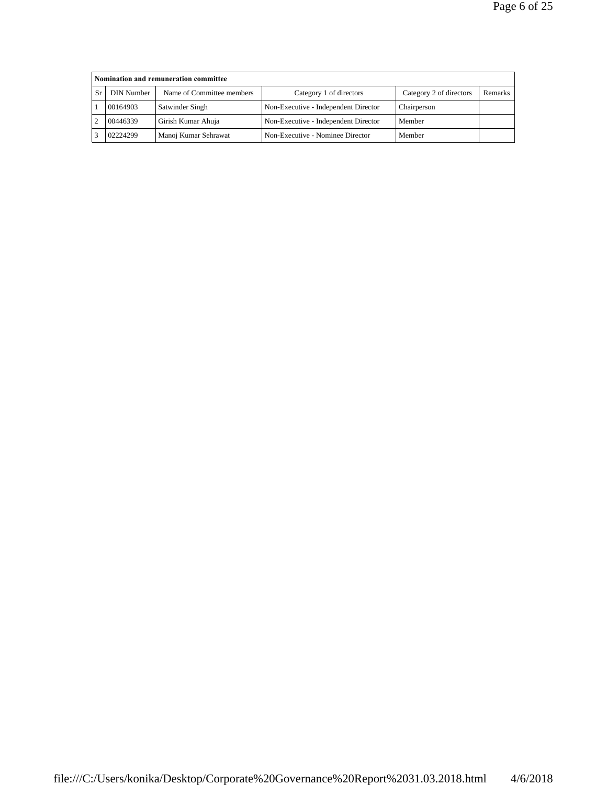| Nomination and remuneration committee |                           |                                      |                         |                |  |  |  |  |
|---------------------------------------|---------------------------|--------------------------------------|-------------------------|----------------|--|--|--|--|
| DIN Number                            | Name of Committee members | Category 1 of directors              | Category 2 of directors | <b>Remarks</b> |  |  |  |  |
| 00164903                              | Satwinder Singh           | Non-Executive - Independent Director | Chairperson             |                |  |  |  |  |
| 00446339                              | Girish Kumar Ahuja        | Non-Executive - Independent Director | Member                  |                |  |  |  |  |
| 02224299                              | Manoj Kumar Sehrawat      | Non-Executive - Nominee Director     | Member                  |                |  |  |  |  |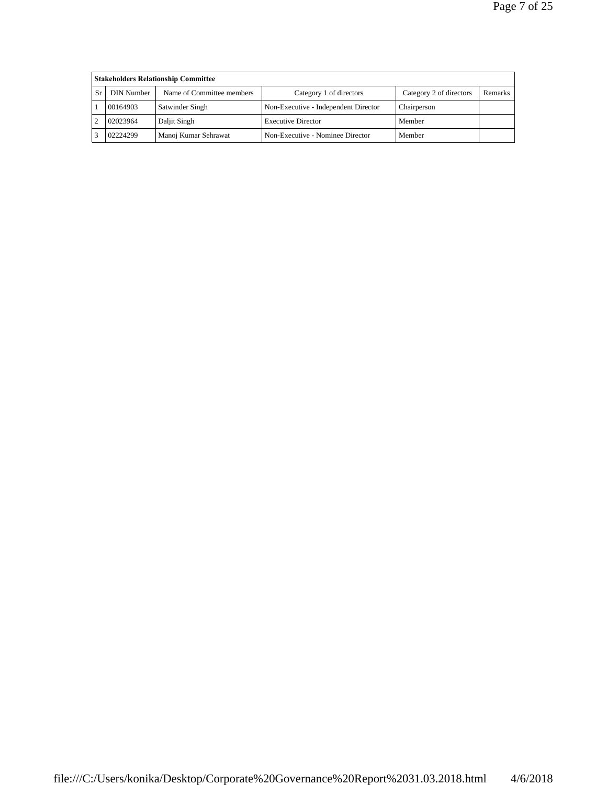| <b>Stakeholders Relationship Committee</b> |                           |                                      |                         |                |  |  |  |  |
|--------------------------------------------|---------------------------|--------------------------------------|-------------------------|----------------|--|--|--|--|
| DIN Number                                 | Name of Committee members | Category 1 of directors              | Category 2 of directors | <b>Remarks</b> |  |  |  |  |
| 00164903                                   | Satwinder Singh           | Non-Executive - Independent Director | Chairperson             |                |  |  |  |  |
| 02023964                                   | Daljit Singh              | <b>Executive Director</b>            | Member                  |                |  |  |  |  |
| 02224299                                   | Manoj Kumar Sehrawat      | Non-Executive - Nominee Director     | Member                  |                |  |  |  |  |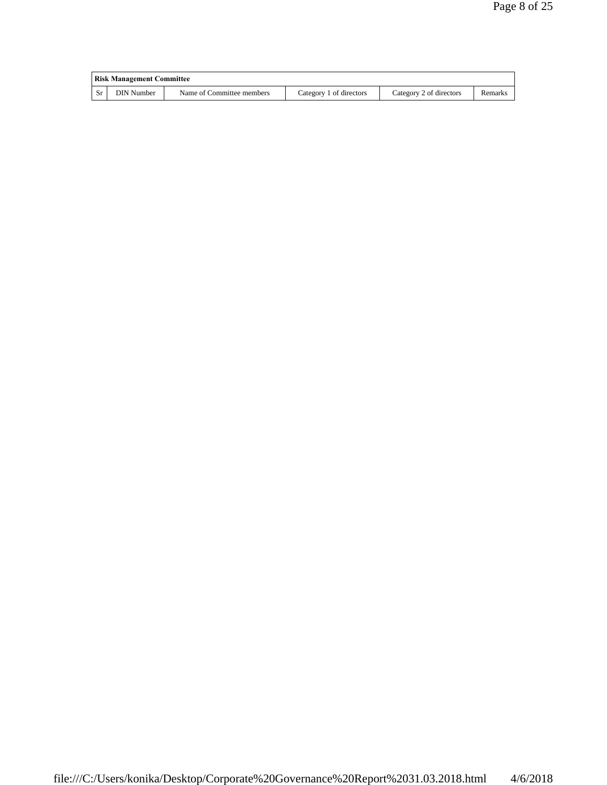|           | Risk Management Committee |                           |                         |                         |         |  |  |
|-----------|---------------------------|---------------------------|-------------------------|-------------------------|---------|--|--|
| <b>Sr</b> | DIN Number                | Name of Committee members | Category 1 of directors | Category 2 of directors | Remarks |  |  |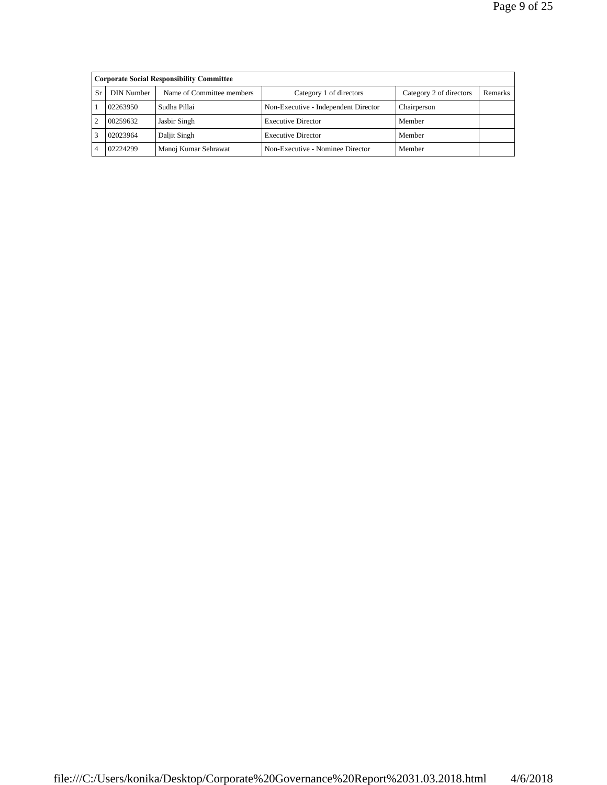|     | <b>Corporate Social Responsibility Committee</b> |                           |                                      |                         |                |  |  |  |  |
|-----|--------------------------------------------------|---------------------------|--------------------------------------|-------------------------|----------------|--|--|--|--|
| Sr. | DIN Number                                       | Name of Committee members | Category 1 of directors              | Category 2 of directors | <b>Remarks</b> |  |  |  |  |
|     | 02263950                                         | Sudha Pillai              | Non-Executive - Independent Director | Chairperson             |                |  |  |  |  |
|     | 00259632                                         | Jasbir Singh              | <b>Executive Director</b>            | Member                  |                |  |  |  |  |
|     | 02023964                                         | Daljit Singh              | <b>Executive Director</b>            | Member                  |                |  |  |  |  |
|     | 02224299                                         | Manoj Kumar Sehrawat      | Non-Executive - Nominee Director     | Member                  |                |  |  |  |  |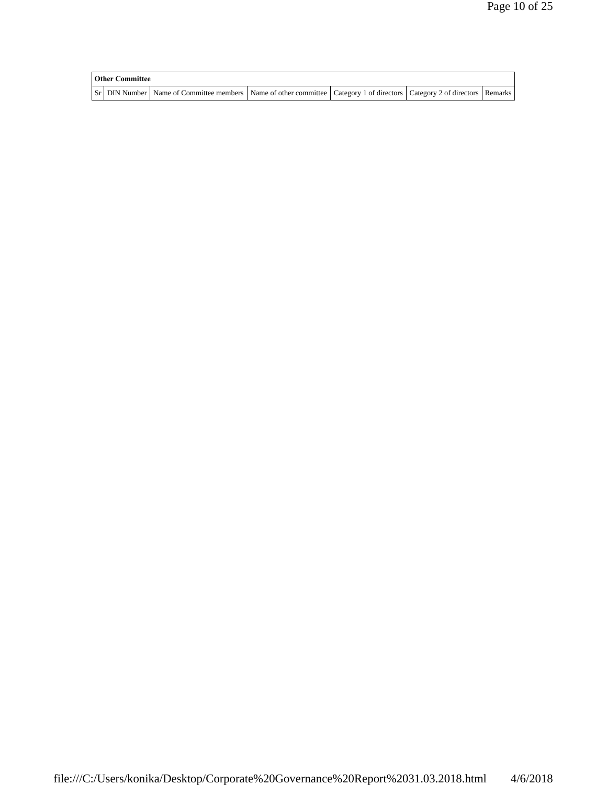| <b>Other Committee</b> |                                                                                                                                     |  |  |  |  |  |
|------------------------|-------------------------------------------------------------------------------------------------------------------------------------|--|--|--|--|--|
|                        | Sr   DIN Number   Name of Committee members   Name of other committee   Category 1 of directors   Category 2 of directors   Remarks |  |  |  |  |  |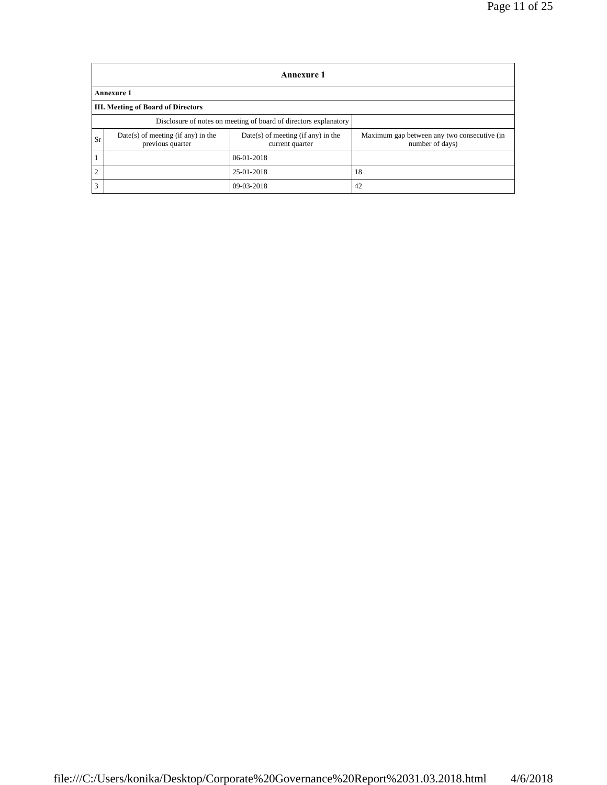|                | Annexure 1                                                       |                                                         |                                                                |  |  |  |  |  |
|----------------|------------------------------------------------------------------|---------------------------------------------------------|----------------------------------------------------------------|--|--|--|--|--|
|                | <b>Annexure 1</b>                                                |                                                         |                                                                |  |  |  |  |  |
|                | <b>III. Meeting of Board of Directors</b>                        |                                                         |                                                                |  |  |  |  |  |
|                | Disclosure of notes on meeting of board of directors explanatory |                                                         |                                                                |  |  |  |  |  |
| Sr             | $Date(s)$ of meeting (if any) in the<br>previous quarter         | $Date(s)$ of meeting (if any) in the<br>current quarter | Maximum gap between any two consecutive (in<br>number of days) |  |  |  |  |  |
|                |                                                                  | $06 - 01 - 2018$                                        |                                                                |  |  |  |  |  |
| $\overline{2}$ |                                                                  | 25-01-2018                                              | 18                                                             |  |  |  |  |  |
| 3              |                                                                  | $09-03-2018$                                            | 42                                                             |  |  |  |  |  |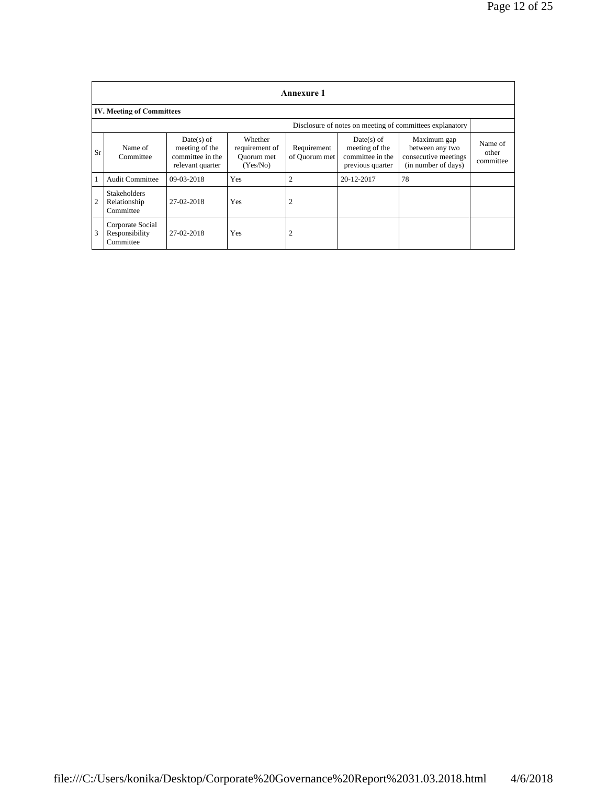|                | <b>Annexure 1</b>                                        |                                                                        |                                                     |                              |                                                                        |                                                                               |                               |  |  |
|----------------|----------------------------------------------------------|------------------------------------------------------------------------|-----------------------------------------------------|------------------------------|------------------------------------------------------------------------|-------------------------------------------------------------------------------|-------------------------------|--|--|
|                | <b>IV. Meeting of Committees</b>                         |                                                                        |                                                     |                              |                                                                        |                                                                               |                               |  |  |
|                | Disclosure of notes on meeting of committees explanatory |                                                                        |                                                     |                              |                                                                        |                                                                               |                               |  |  |
| <b>Sr</b>      | Name of<br>Committee                                     | $Date(s)$ of<br>meeting of the<br>committee in the<br>relevant quarter | Whether<br>requirement of<br>Ouorum met<br>(Yes/No) | Requirement<br>of Quorum met | $Date(s)$ of<br>meeting of the<br>committee in the<br>previous quarter | Maximum gap<br>between any two<br>consecutive meetings<br>(in number of days) | Name of<br>other<br>committee |  |  |
| 1              | <b>Audit Committee</b>                                   | 09-03-2018                                                             | Yes                                                 | $\overline{2}$               | 20-12-2017                                                             | 78                                                                            |                               |  |  |
| $\overline{2}$ | <b>Stakeholders</b><br>Relationship<br>Committee         | 27-02-2018                                                             | Yes                                                 | $\overline{2}$               |                                                                        |                                                                               |                               |  |  |
| 3              | Corporate Social<br>Responsibility<br>Committee          | 27-02-2018                                                             | Yes                                                 | $\overline{2}$               |                                                                        |                                                                               |                               |  |  |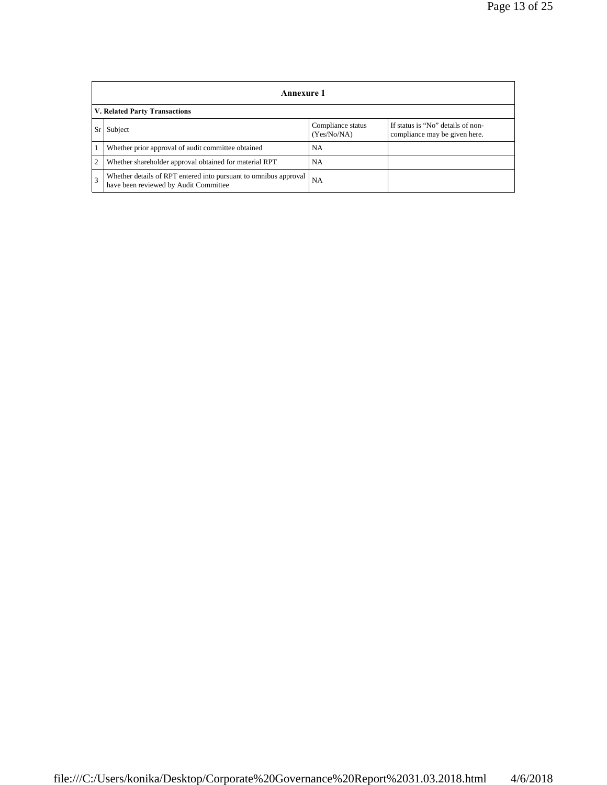|              | <b>Annexure 1</b>                                                                                         |                                  |                                                                    |  |  |
|--------------|-----------------------------------------------------------------------------------------------------------|----------------------------------|--------------------------------------------------------------------|--|--|
|              | V. Related Party Transactions                                                                             |                                  |                                                                    |  |  |
| $S_r$        | Subject                                                                                                   | Compliance status<br>(Yes/No/NA) | If status is "No" details of non-<br>compliance may be given here. |  |  |
|              | Whether prior approval of audit committee obtained                                                        | <b>NA</b>                        |                                                                    |  |  |
| <sup>2</sup> | Whether shareholder approval obtained for material RPT                                                    | <b>NA</b>                        |                                                                    |  |  |
| 3            | Whether details of RPT entered into pursuant to omnibus approval<br>have been reviewed by Audit Committee | <b>NA</b>                        |                                                                    |  |  |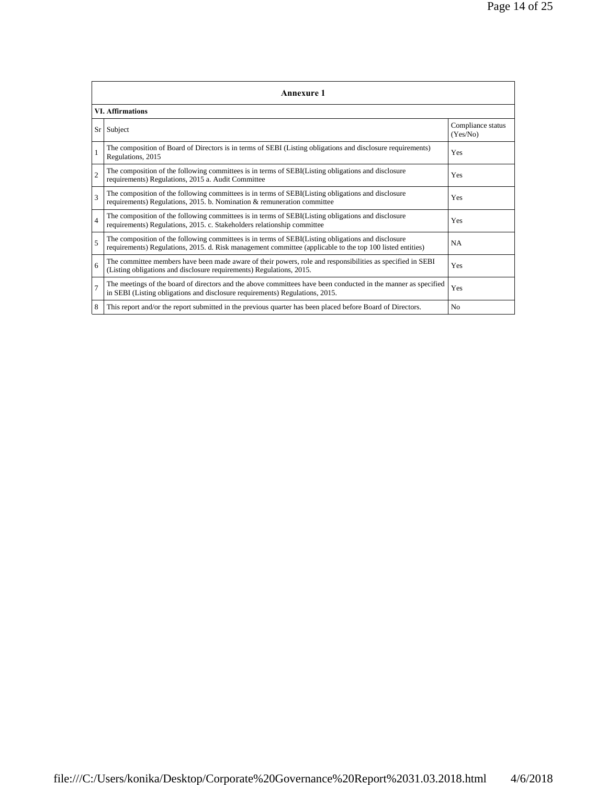| <b>Annexure 1</b> |                                                                                                                                                                                                                 |                               |  |
|-------------------|-----------------------------------------------------------------------------------------------------------------------------------------------------------------------------------------------------------------|-------------------------------|--|
|                   | <b>VI.</b> Affirmations                                                                                                                                                                                         |                               |  |
| $S_r$             | Subject                                                                                                                                                                                                         | Compliance status<br>(Yes/No) |  |
|                   | The composition of Board of Directors is in terms of SEBI (Listing obligations and disclosure requirements)<br>Regulations, 2015                                                                                | Yes                           |  |
| $\overline{2}$    | The composition of the following committees is in terms of SEBI(Listing obligations and disclosure<br>requirements) Regulations, 2015 a. Audit Committee                                                        | Yes                           |  |
| $\mathcal{R}$     | The composition of the following committees is in terms of SEBI(Listing obligations and disclosure<br>requirements) Regulations, 2015. b. Nomination & remuneration committee                                   | Yes                           |  |
| $\overline{4}$    | The composition of the following committees is in terms of SEBI(Listing obligations and disclosure<br>requirements) Regulations, 2015. c. Stakeholders relationship committee                                   | Yes                           |  |
| 5                 | The composition of the following committees is in terms of SEBI(Listing obligations and disclosure<br>requirements) Regulations, 2015. d. Risk management committee (applicable to the top 100 listed entities) | <b>NA</b>                     |  |
| 6                 | The committee members have been made aware of their powers, role and responsibilities as specified in SEBI<br>(Listing obligations and disclosure requirements) Regulations, 2015.                              | Yes                           |  |
| $\overline{7}$    | The meetings of the board of directors and the above committees have been conducted in the manner as specified<br>in SEBI (Listing obligations and disclosure requirements) Regulations, 2015.                  | Yes                           |  |
| 8                 | This report and/or the report submitted in the previous quarter has been placed before Board of Directors.                                                                                                      | N <sub>0</sub>                |  |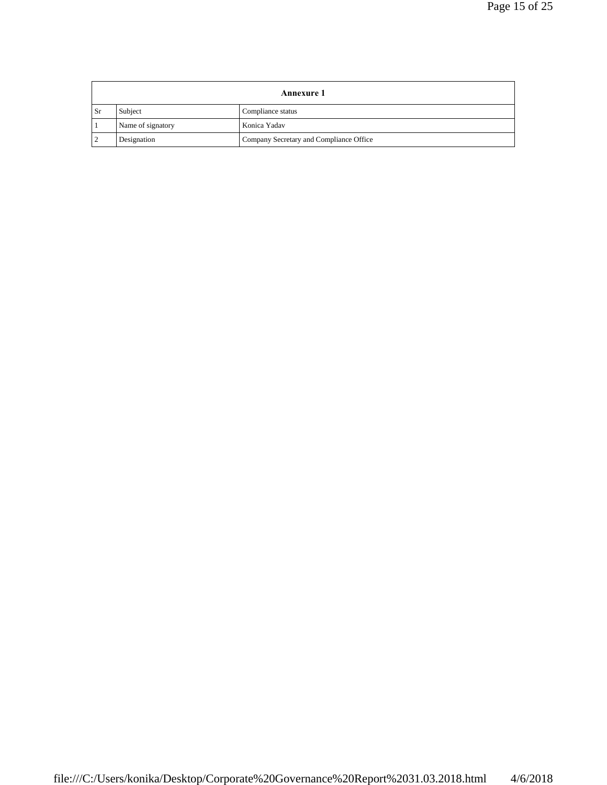|                | <b>Annexure 1</b> |                                         |  |
|----------------|-------------------|-----------------------------------------|--|
| . Sr           | Subject           | Compliance status                       |  |
|                | Name of signatory | Konica Yadav                            |  |
| $\overline{2}$ | Designation       | Company Secretary and Compliance Office |  |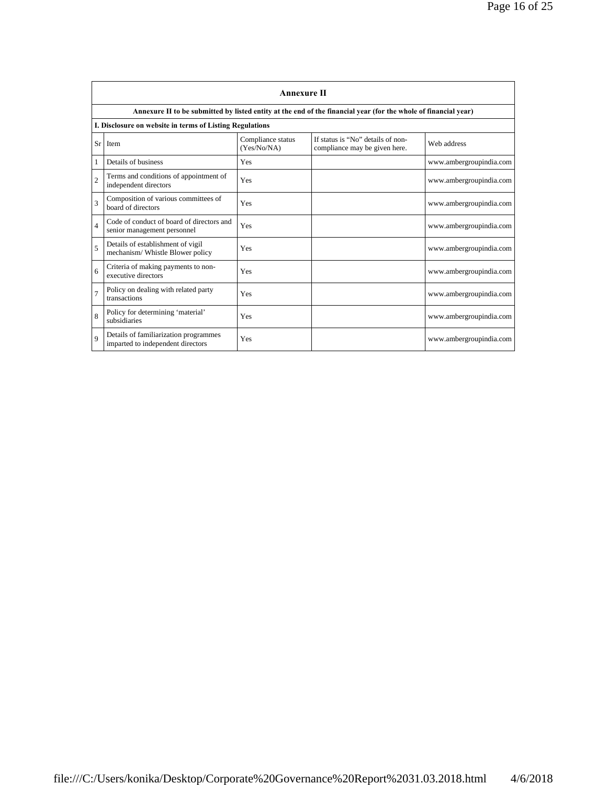|                | <b>Annexure II</b>                                                         |                                  |                                                                                                                 |                         |  |
|----------------|----------------------------------------------------------------------------|----------------------------------|-----------------------------------------------------------------------------------------------------------------|-------------------------|--|
|                |                                                                            |                                  | Annexure II to be submitted by listed entity at the end of the financial year (for the whole of financial year) |                         |  |
|                | I. Disclosure on website in terms of Listing Regulations                   |                                  |                                                                                                                 |                         |  |
| Sr l           | Item                                                                       | Compliance status<br>(Yes/No/NA) | If status is "No" details of non-<br>compliance may be given here.                                              | Web address             |  |
| 1              | Details of business                                                        | Yes                              |                                                                                                                 | www.ambergroupindia.com |  |
| $\overline{2}$ | Terms and conditions of appointment of<br>independent directors            | Yes                              |                                                                                                                 | www.ambergroupindia.com |  |
| $\overline{3}$ | Composition of various committees of<br>board of directors                 | Yes                              |                                                                                                                 | www.ambergroupindia.com |  |
| $\overline{4}$ | Code of conduct of board of directors and<br>senior management personnel   | Yes                              |                                                                                                                 | www.ambergroupindia.com |  |
| 5              | Details of establishment of vigil<br>mechanism/Whistle Blower policy       | Yes                              |                                                                                                                 | www.ambergroupindia.com |  |
| 6              | Criteria of making payments to non-<br>executive directors                 | Yes                              |                                                                                                                 | www.ambergroupindia.com |  |
| $\overline{7}$ | Policy on dealing with related party<br>transactions                       | Yes                              |                                                                                                                 | www.ambergroupindia.com |  |
| 8              | Policy for determining 'material'<br>subsidiaries                          | Yes                              |                                                                                                                 | www.ambergroupindia.com |  |
| $\mathbf Q$    | Details of familiarization programmes<br>imparted to independent directors | Yes                              |                                                                                                                 | www.ambergroupindia.com |  |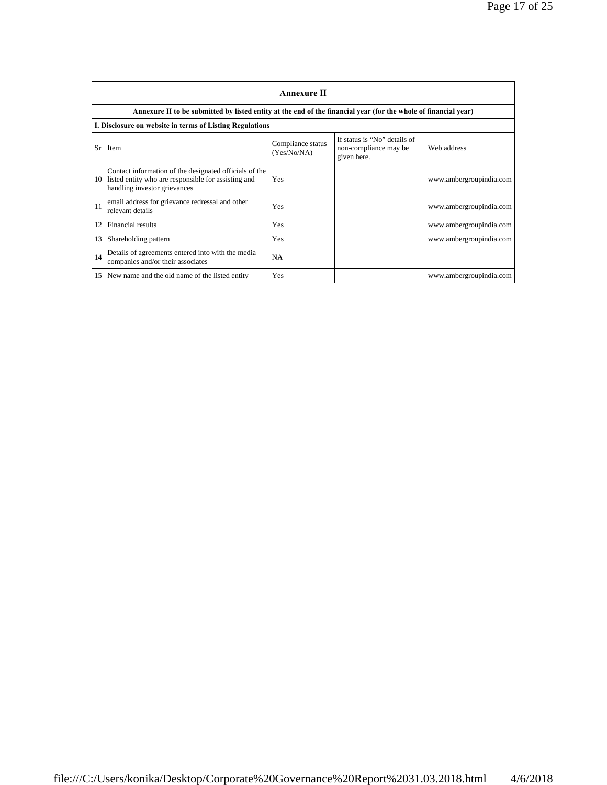| <b>Annexure II</b>                                                                                                                                  |                                  |                                                                      |                         |  |
|-----------------------------------------------------------------------------------------------------------------------------------------------------|----------------------------------|----------------------------------------------------------------------|-------------------------|--|
| Annexure II to be submitted by listed entity at the end of the financial year (for the whole of financial year)                                     |                                  |                                                                      |                         |  |
| I. Disclosure on website in terms of Listing Regulations                                                                                            |                                  |                                                                      |                         |  |
| <b>Sr</b><br>Item                                                                                                                                   | Compliance status<br>(Yes/No/NA) | If status is "No" details of<br>non-compliance may be<br>given here. | Web address             |  |
| Contact information of the designated officials of the<br>listed entity who are responsible for assisting and<br>10<br>handling investor grievances | Yes                              |                                                                      | www.ambergroupindia.com |  |
| email address for grievance redressal and other<br>11<br>relevant details                                                                           | Yes                              |                                                                      | www.ambergroupindia.com |  |
| 12<br>Financial results                                                                                                                             | Yes                              |                                                                      | www.ambergroupindia.com |  |
| 13<br>Shareholding pattern                                                                                                                          | Yes                              |                                                                      | www.ambergroupindia.com |  |
| Details of agreements entered into with the media<br>14<br>companies and/or their associates                                                        | <b>NA</b>                        |                                                                      |                         |  |
| 15<br>New name and the old name of the listed entity                                                                                                | Yes                              |                                                                      | www.ambergroupindia.com |  |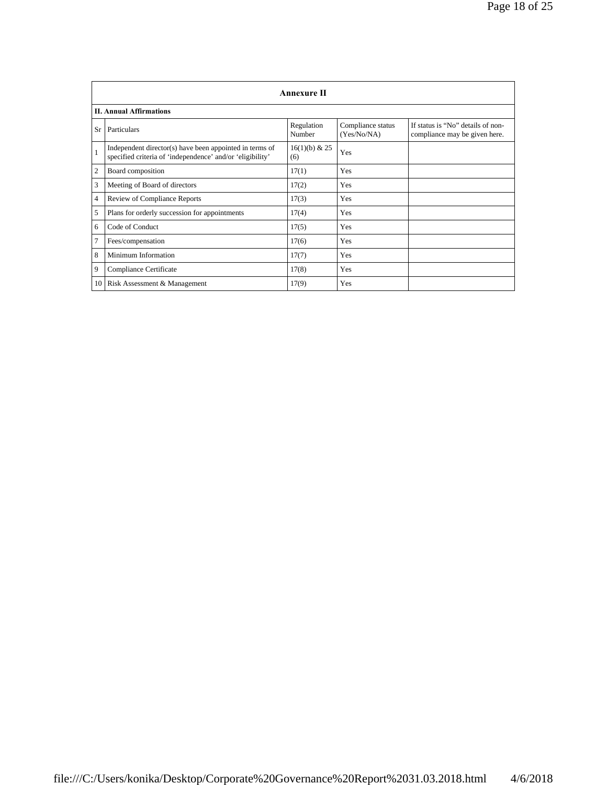|                 | <b>Annexure II</b>                                                                                                   |                      |                                  |                                                                    |
|-----------------|----------------------------------------------------------------------------------------------------------------------|----------------------|----------------------------------|--------------------------------------------------------------------|
|                 | <b>II. Annual Affirmations</b>                                                                                       |                      |                                  |                                                                    |
| Sr              | Particulars                                                                                                          | Regulation<br>Number | Compliance status<br>(Yes/No/NA) | If status is "No" details of non-<br>compliance may be given here. |
| $\overline{1}$  | Independent director(s) have been appointed in terms of<br>specified criteria of 'independence' and/or 'eligibility' | 16(1)(b) & 25<br>(6) | Yes                              |                                                                    |
| $\overline{2}$  | Board composition                                                                                                    | 17(1)                | Yes                              |                                                                    |
| 3               | Meeting of Board of directors                                                                                        | 17(2)                | Yes                              |                                                                    |
| $\overline{4}$  | Review of Compliance Reports                                                                                         | 17(3)                | Yes                              |                                                                    |
| 5               | Plans for orderly succession for appointments                                                                        | 17(4)                | Yes                              |                                                                    |
| 6               | Code of Conduct                                                                                                      | 17(5)                | Yes                              |                                                                    |
| $\overline{7}$  | Fees/compensation                                                                                                    | 17(6)                | Yes                              |                                                                    |
| 8               | Minimum Information                                                                                                  | 17(7)                | Yes                              |                                                                    |
| 9               | Compliance Certificate                                                                                               | 17(8)                | Yes                              |                                                                    |
| 10 <sup>1</sup> | Risk Assessment & Management                                                                                         | 17(9)                | Yes                              |                                                                    |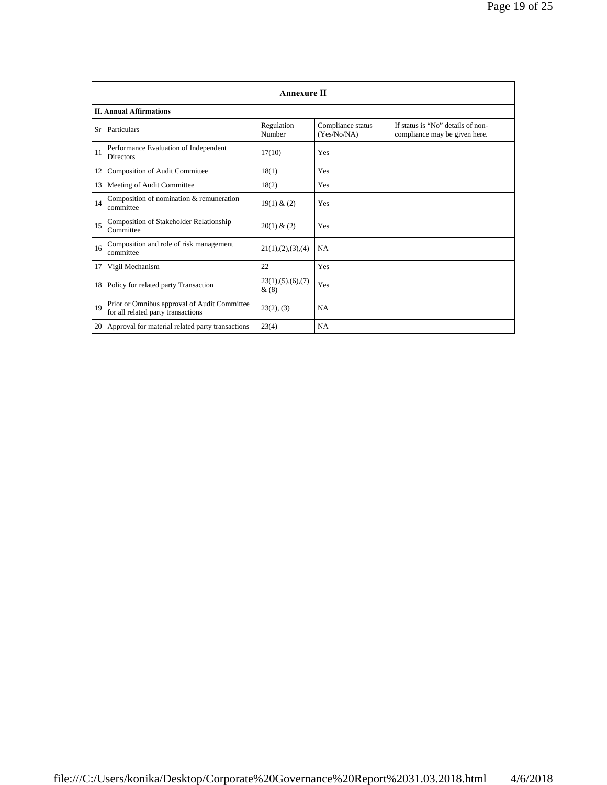|      | <b>Annexure II</b>                                                                 |                              |                                  |                                                                    |
|------|------------------------------------------------------------------------------------|------------------------------|----------------------------------|--------------------------------------------------------------------|
|      | <b>II. Annual Affirmations</b>                                                     |                              |                                  |                                                                    |
| Sr   | Particulars                                                                        | Regulation<br>Number         | Compliance status<br>(Yes/No/NA) | If status is "No" details of non-<br>compliance may be given here. |
| 11   | Performance Evaluation of Independent<br><b>Directors</b>                          | 17(10)                       | Yes                              |                                                                    |
| 12   | <b>Composition of Audit Committee</b>                                              | 18(1)                        | Yes                              |                                                                    |
| 13   | Meeting of Audit Committee                                                         | 18(2)                        | Yes                              |                                                                    |
| 14   | Composition of nomination & remuneration<br>committee                              | 19(1) & (2)                  | Yes                              |                                                                    |
| 15   | Composition of Stakeholder Relationship<br>Committee                               | 20(1) & (2)                  | Yes                              |                                                                    |
| 16   | Composition and role of risk management<br>committee                               | 21(1), (2), (3), (4)         | NA                               |                                                                    |
| 17   | Vigil Mechanism                                                                    | 22                           | <b>Yes</b>                       |                                                                    |
| 18 l | Policy for related party Transaction                                               | 23(1), (5), (6), (7)<br>&(8) | Yes                              |                                                                    |
| 19   | Prior or Omnibus approval of Audit Committee<br>for all related party transactions | 23(2), (3)                   | NA                               |                                                                    |
| 20   | Approval for material related party transactions                                   | 23(4)                        | NA                               |                                                                    |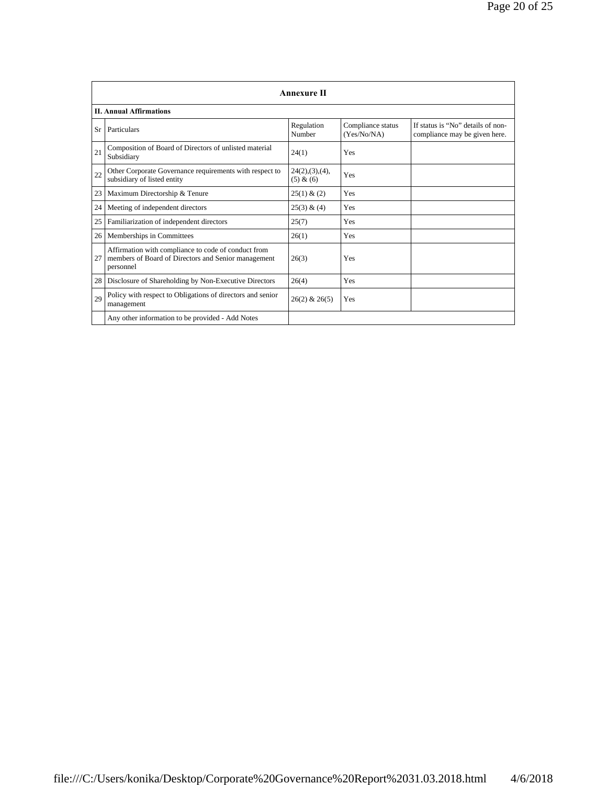|    | <b>Annexure II</b>                                                                                                      |                               |                                  |                                                                    |
|----|-------------------------------------------------------------------------------------------------------------------------|-------------------------------|----------------------------------|--------------------------------------------------------------------|
|    | <b>II. Annual Affirmations</b>                                                                                          |                               |                                  |                                                                    |
| Sr | Particulars                                                                                                             | Regulation<br>Number          | Compliance status<br>(Yes/No/NA) | If status is "No" details of non-<br>compliance may be given here. |
| 21 | Composition of Board of Directors of unlisted material<br>Subsidiary                                                    | 24(1)                         | Yes                              |                                                                    |
| 22 | Other Corporate Governance requirements with respect to<br>subsidiary of listed entity                                  | 24(2), (3), (4),<br>(5) & (6) | Yes                              |                                                                    |
| 23 | Maximum Directorship & Tenure                                                                                           | 25(1) & (2)                   | Yes                              |                                                                    |
| 24 | Meeting of independent directors                                                                                        | 25(3) & (4)                   | Yes                              |                                                                    |
| 25 | Familiarization of independent directors                                                                                | 25(7)                         | Yes                              |                                                                    |
| 26 | Memberships in Committees                                                                                               | 26(1)                         | Yes                              |                                                                    |
| 27 | Affirmation with compliance to code of conduct from<br>members of Board of Directors and Senior management<br>personnel | 26(3)                         | Yes                              |                                                                    |
| 28 | Disclosure of Shareholding by Non-Executive Directors                                                                   | 26(4)                         | Yes                              |                                                                    |
| 29 | Policy with respect to Obligations of directors and senior<br>management                                                | $26(2)$ & $26(5)$             | Yes                              |                                                                    |
|    | Any other information to be provided - Add Notes                                                                        |                               |                                  |                                                                    |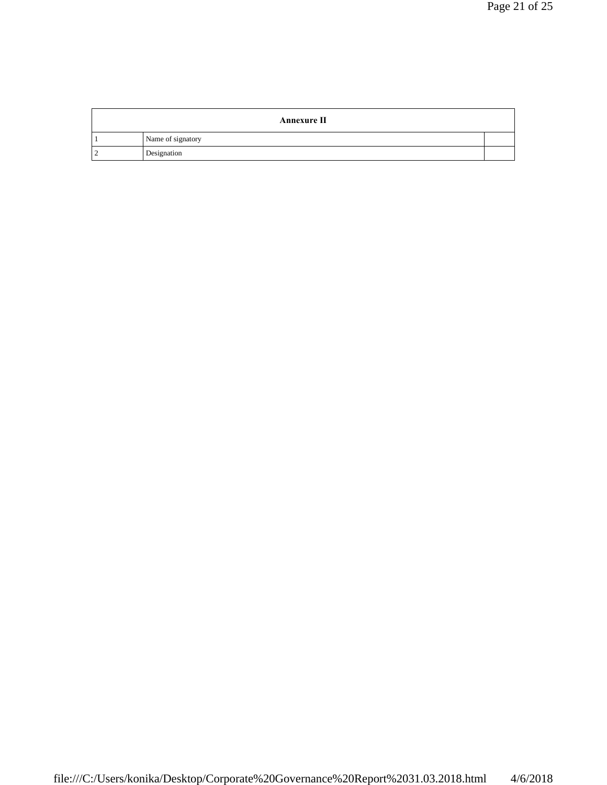| <b>Annexure II</b> |  |
|--------------------|--|
| Name of signatory  |  |
| Designation        |  |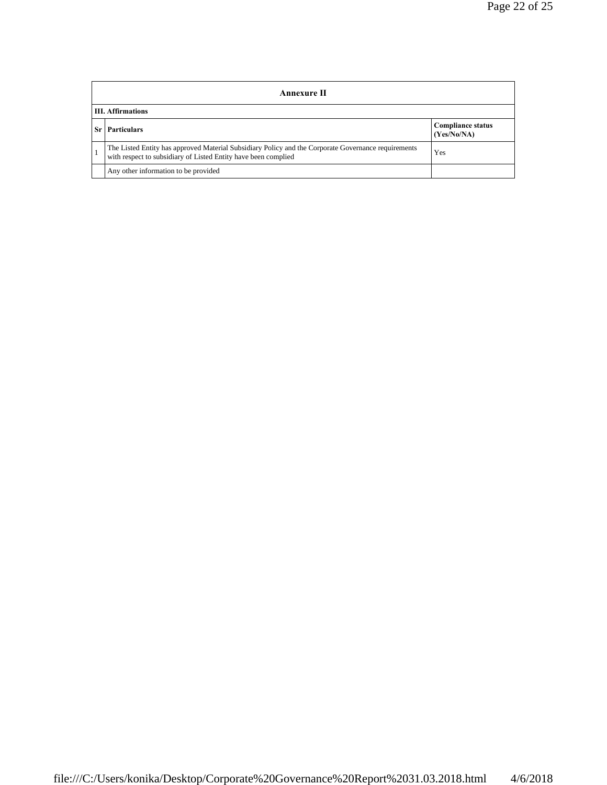| Annexure II                                                                                                                                                           |                                         |  |
|-----------------------------------------------------------------------------------------------------------------------------------------------------------------------|-----------------------------------------|--|
| <b>III.</b> Affirmations                                                                                                                                              |                                         |  |
| <b>Particulars</b>                                                                                                                                                    | <b>Compliance status</b><br>(Yes/No/NA) |  |
| The Listed Entity has approved Material Subsidiary Policy and the Corporate Governance requirements<br>with respect to subsidiary of Listed Entity have been complied | Yes                                     |  |
| Any other information to be provided                                                                                                                                  |                                         |  |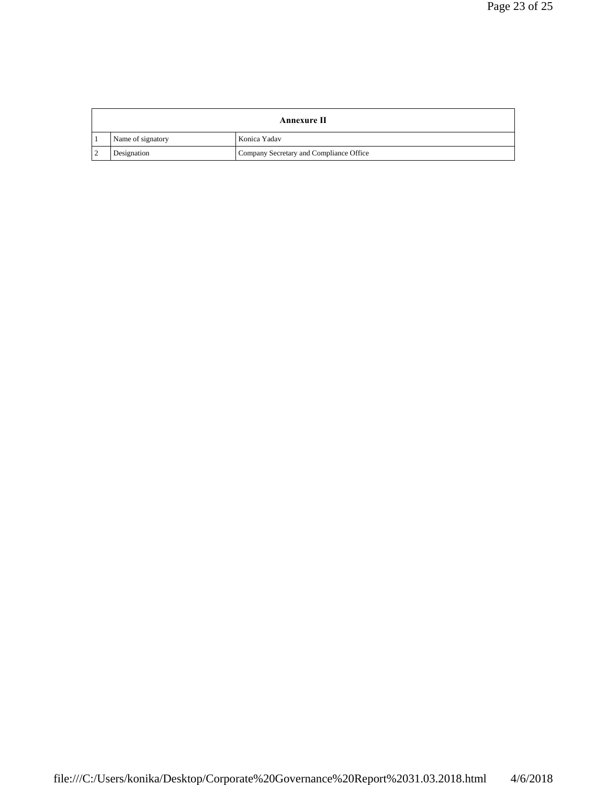| Annexure II       |                                         |  |
|-------------------|-----------------------------------------|--|
| Name of signatory | Konica Yadav                            |  |
| Designation       | Company Secretary and Compliance Office |  |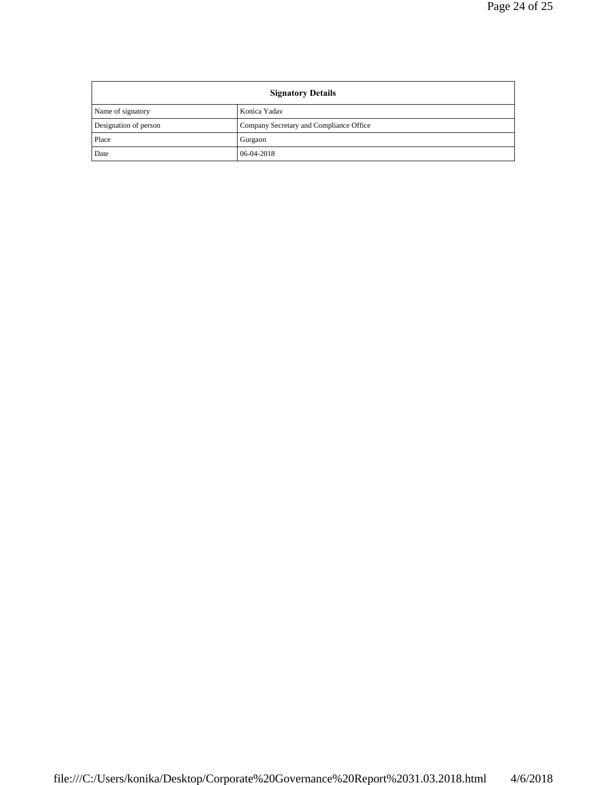| <b>Signatory Details</b> |                                         |
|--------------------------|-----------------------------------------|
| Name of signatory        | Konica Yadav                            |
| Designation of person    | Company Secretary and Compliance Office |
| Place                    | Gurgaon                                 |
| Date                     | 06-04-2018                              |